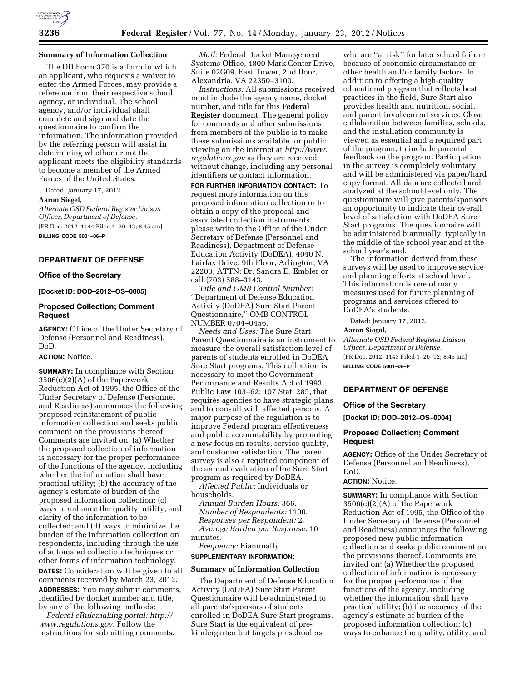

#### **Summary of Information Collection**

The DD Form 370 is a form in which an applicant, who requests a waiver to enter the Armed Forces, may provide a reference from their respective school, agency, or individual. The school, agency, and/or individual shall complete and sign and date the questionnaire to confirm the information. The information provided by the referring person will assist in determining whether or not the applicant meets the eligibility standards to become a member of the Armed Forces of the United States.

Dated: January 17, 2012. **Aaron Siegel,**  *Alternate OSD Federal Register Liaison Officer, Department of Defense.*  [FR Doc. 2012–1144 Filed 1–20–12; 8:45 am] **BILLING CODE 5001–06–P** 

# **DEPARTMENT OF DEFENSE**

#### **Office of the Secretary**

#### **[Docket ID: DOD–2012–OS–0005]**

## **Proposed Collection; Comment Request**

**AGENCY:** Office of the Under Secretary of Defense (Personnel and Readiness), DoD.

#### **ACTION:** Notice.

**SUMMARY:** In compliance with Section 3506(c)(2)(A) of the Paperwork Reduction Act of 1995, the Office of the Under Secretary of Defense (Personnel and Readiness) announces the following proposed reinstatement of public information collection and seeks public comment on the provisions thereof. Comments are invited on: (a) Whether the proposed collection of information is necessary for the proper performance of the functions of the agency, including whether the information shall have practical utility; (b) the accuracy of the agency's estimate of burden of the proposed information collection; (c) ways to enhance the quality, utility, and clarity of the information to be collected; and (d) ways to minimize the burden of the information collection on respondents, including through the use of automated collection techniques or other forms of information technology. **DATES:** Consideration will be given to all comments received by March 23, 2012. **ADDRESSES:** You may submit comments,

identified by docket number and title, by any of the following methods:

*Federal eRulemaking portal: [http://](http://www.regulations.gov) [www.regulations.gov.](http://www.regulations.gov)* Follow the instructions for submitting comments.

*Mail:* Federal Docket Management Systems Office, 4800 Mark Center Drive, Suite 02G09, East Tower, 2nd floor, Alexandria, VA 22350–3100.

*Instructions:* All submissions received must include the agency name, docket number, and title for this **Federal Register** document. The general policy for comments and other submissions from members of the public is to make these submissions available for public viewing on the Internet at *[http://www.](http://www.regulations.gov) [regulations.gov](http://www.regulations.gov)* as they are received without change, including any personal identifiers or contact information.

**FOR FURTHER INFORMATION CONTACT:** To request more information on this proposed information collection or to obtain a copy of the proposal and associated collection instruments, please write to the Office of the Under Secretary of Defense (Personnel and Readiness), Department of Defense Education Activity (DoDEA), 4040 N. Fairfax Drive, 9th Floor, Arlington, VA 22203, ATTN: Dr. Sandra D. Embler or call (703) 588–3143.

*Title and OMB Control Number:*  ''Department of Defense Education Activity (DoDEA) Sure Start Parent Questionnaire,'' OMB CONTROL NUMBER 0704–0456.

*Needs and Uses:* The Sure Start Parent Questionnaire is an instrument to measure the overall satisfaction level of parents of students enrolled in DoDEA Sure Start programs. This collection is necessary to meet the Government Performance and Results Act of 1993, Public Law 103–62; 107 Stat. 285, that requires agencies to have strategic plans and to consult with affected persons. A major purpose of the regulation is to improve Federal program effectiveness and public accountability by promoting a new focus on results, service quality, and customer satisfaction. The parent survey is also a required component of the annual evaluation of the Sure Start program as required by DoDEA.

*Affected Public:* Individuals or households.

*Annual Burden Hours:* 366. *Number of Respondents:* 1100. *Responses per Respondent:* 2. *Average Burden per Response:* 10 minutes.

*Frequency:* Biannually. **SUPPLEMENTARY INFORMATION:** 

#### **Summary of Information Collection**

The Department of Defense Education Activity (DoDEA) Sure Start Parent Questionnaire will be administered to all parents/sponsors of students enrolled in DoDEA Sure Start programs. Sure Start is the equivalent of prekindergarten but targets preschoolers

who are ''at risk'' for later school failure because of economic circumstance or other health and/or family factors. In addition to offering a high-quality educational program that reflects best practices in the field, Sure Start also provides health and nutrition, social, and parent involvement services. Close collaboration between families, schools, and the installation community is viewed as essential and a required part of the program, to include parental feedback on the program. Participation in the survey is completely voluntary and will be administered via paper/hard copy format. All data are collected and analyzed at the school level only. The questionnaire will give parents/sponsors an opportunity to indicate their overall level of satisfaction with DoDEA Sure Start programs. The questionnaire will be administered biannually; typically in the middle of the school year and at the school year's end.

The information derived from these surveys will be used to improve service and planning efforts at school level. This information is one of many measures used for future planning of programs and services offered to DoDEA's students.

Dated: January 17, 2012.

#### **Aaron Siegel,**

*Alternate OSD Federal Register Liaison Officer, Department of Defense.*  [FR Doc. 2012–1143 Filed 1–20–12; 8:45 am]

**BILLING CODE 5001–06–P** 

## **DEPARTMENT OF DEFENSE**

#### **Office of the Secretary**

**[Docket ID: DOD–2012–OS–0004]** 

#### **Proposed Collection; Comment Request**

**AGENCY:** Office of the Under Secretary of Defense (Personnel and Readiness), DoD.

# **ACTION:** Notice.

**SUMMARY:** In compliance with Section 3506(c)(2)(A) of the Paperwork Reduction Act of 1995, the Office of the Under Secretary of Defense (Personnel and Readiness) announces the following proposed new public information collection and seeks public comment on the provisions thereof. Comments are invited on: (a) Whether the proposed collection of information is necessary for the proper performance of the functions of the agency, including whether the information shall have practical utility; (b) the accuracy of the agency's estimate of burden of the proposed information collection; (c) ways to enhance the quality, utility, and